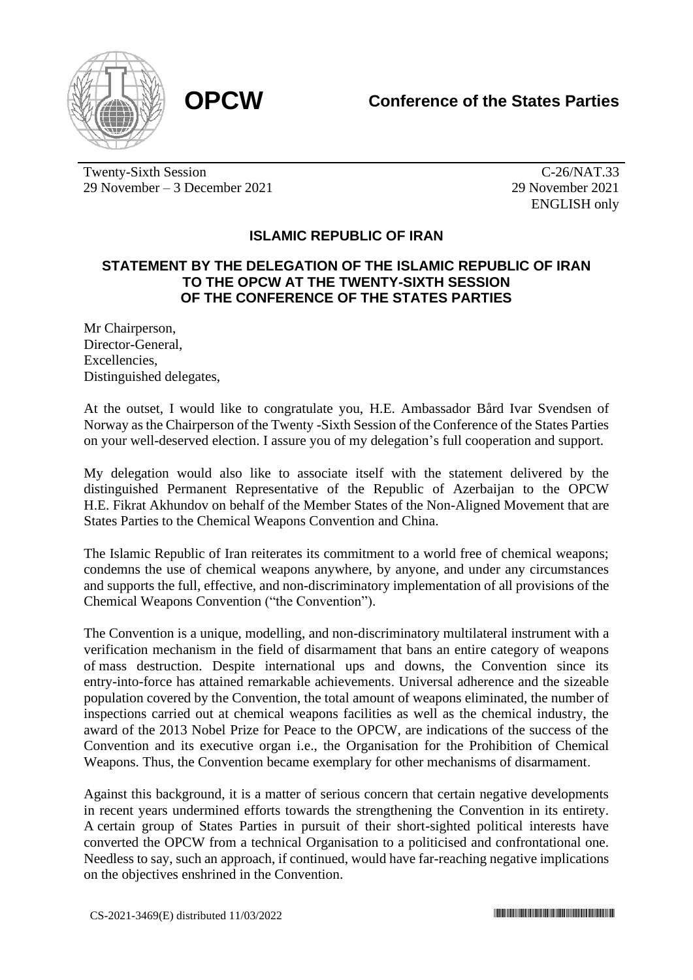



Twenty-Sixth Session 29 November – 3 December 2021

C-26/NAT.33 29 November 2021 ENGLISH only

## **ISLAMIC REPUBLIC OF IRAN**

## **STATEMENT BY THE DELEGATION OF THE ISLAMIC REPUBLIC OF IRAN TO THE OPCW AT THE TWENTY-SIXTH SESSION OF THE CONFERENCE OF THE STATES PARTIES**

Mr Chairperson, Director-General, Excellencies, Distinguished delegates,

At the outset, I would like to congratulate you, H.E. Ambassador Bård Ivar Svendsen of Norway as the Chairperson of the Twenty -Sixth Session of the Conference of the States Parties on your well-deserved election. I assure you of my delegation's full cooperation and support.

My delegation would also like to associate itself with the statement delivered by the distinguished Permanent Representative of the Republic of Azerbaijan to the OPCW H.E. Fikrat Akhundov on behalf of the Member States of the Non-Aligned Movement that are States Parties to the Chemical Weapons Convention and China.

The Islamic Republic of Iran reiterates its commitment to a world free of chemical weapons; condemns the use of chemical weapons anywhere, by anyone, and under any circumstances and supports the full, effective, and non-discriminatory implementation of all provisions of the Chemical Weapons Convention ("the Convention").

The Convention is a unique, modelling, and non-discriminatory multilateral instrument with a verification mechanism in the field of disarmament that bans an entire category of weapons of mass destruction. Despite international ups and downs, the Convention since its entry-into-force has attained remarkable achievements. Universal adherence and the sizeable population covered by the Convention, the total amount of weapons eliminated, the number of inspections carried out at chemical weapons facilities as well as the chemical industry, the award of the 2013 Nobel Prize for Peace to the OPCW, are indications of the success of the Convention and its executive organ i.e., the Organisation for the Prohibition of Chemical Weapons. Thus, the Convention became exemplary for other mechanisms of disarmament.

Against this background, it is a matter of serious concern that certain negative developments in recent years undermined efforts towards the strengthening the Convention in its entirety. A certain group of States Parties in pursuit of their short-sighted political interests have converted the OPCW from a technical Organisation to a politicised and confrontational one. Needless to say, such an approach, if continued, would have far-reaching negative implications on the objectives enshrined in the Convention.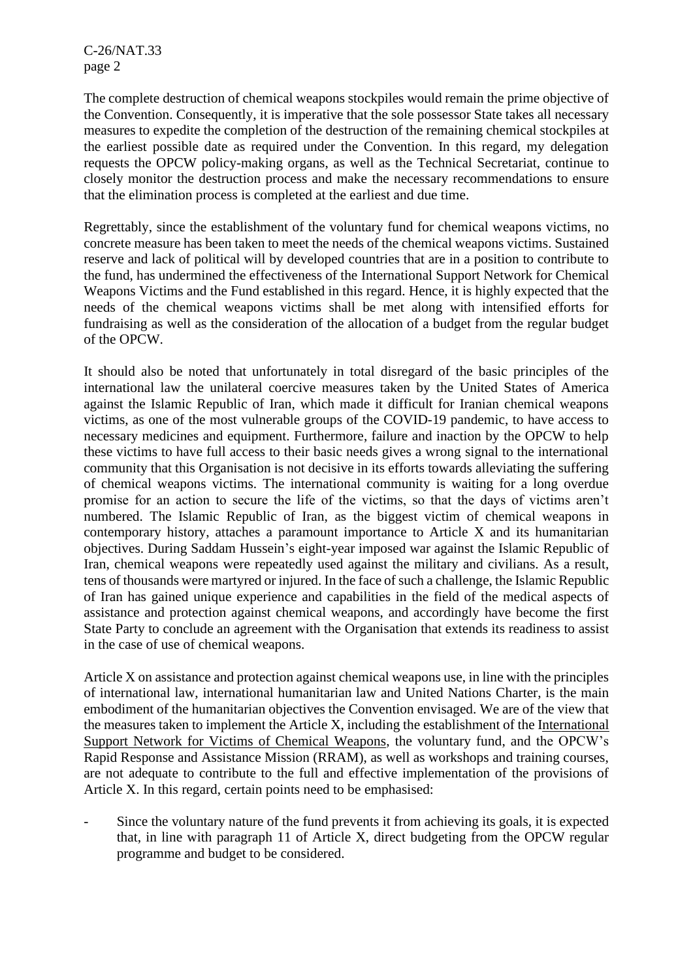C-26/NAT.33 page 2

The complete destruction of chemical weapons stockpiles would remain the prime objective of the Convention. Consequently, it is imperative that the sole possessor State takes all necessary measures to expedite the completion of the destruction of the remaining chemical stockpiles at the earliest possible date as required under the Convention. In this regard, my delegation requests the OPCW policy-making organs, as well as the Technical Secretariat, continue to closely monitor the destruction process and make the necessary recommendations to ensure that the elimination process is completed at the earliest and due time.

Regrettably, since the establishment of the voluntary fund for chemical weapons victims, no concrete measure has been taken to meet the needs of the chemical weapons victims. Sustained reserve and lack of political will by developed countries that are in a position to contribute to the fund, has undermined the effectiveness of the International Support Network for Chemical Weapons Victims and the Fund established in this regard. Hence, it is highly expected that the needs of the chemical weapons victims shall be met along with intensified efforts for fundraising as well as the consideration of the allocation of a budget from the regular budget of the OPCW.

It should also be noted that unfortunately in total disregard of the basic principles of the international law the unilateral coercive measures taken by the United States of America against the Islamic Republic of Iran, which made it difficult for Iranian chemical weapons victims, as one of the most vulnerable groups of the COVID-19 pandemic, to have access to necessary medicines and equipment. Furthermore, failure and inaction by the OPCW to help these victims to have full access to their basic needs gives a wrong signal to the international community that this Organisation is not decisive in its efforts towards alleviating the suffering of chemical weapons victims. The international community is waiting for a long overdue promise for an action to secure the life of the victims, so that the days of victims aren't numbered. The Islamic Republic of Iran, as the biggest victim of chemical weapons in contemporary history, attaches a paramount importance to Article X and its humanitarian objectives. During Saddam Hussein's eight-year imposed war against the Islamic Republic of Iran, chemical weapons were repeatedly used against the military and civilians. As a result, tens of thousands were martyred or injured. In the face of such a challenge, the Islamic Republic of Iran has gained unique experience and capabilities in the field of the medical aspects of assistance and protection against chemical weapons, and accordingly have become the first State Party to conclude an agreement with the Organisation that extends its readiness to assist in the case of use of chemical weapons.

Article X on assistance and protection against chemical weapons use, in line with the principles of international law, international humanitarian law and United Nations Charter, is the main embodiment of the humanitarian objectives the Convention envisaged. We are of the view that the measures taken to implement the Article X, including the establishment of the [International](https://www.opcw.org/documents/2011/12/c-16dec13/decision-establishment-international-support-network-victims-chemical)  [Support Network for Victims of Chemical Weapons,](https://www.opcw.org/documents/2011/12/c-16dec13/decision-establishment-international-support-network-victims-chemical) the voluntary fund, and the OPCW's Rapid Response and Assistance Mission (RRAM), as well as workshops and training courses, are not adequate to contribute to the full and effective implementation of the provisions of Article X. In this regard, certain points need to be emphasised:

Since the voluntary nature of the fund prevents it from achieving its goals, it is expected that, in line with paragraph 11 of Article X, direct budgeting from the OPCW regular programme and budget to be considered.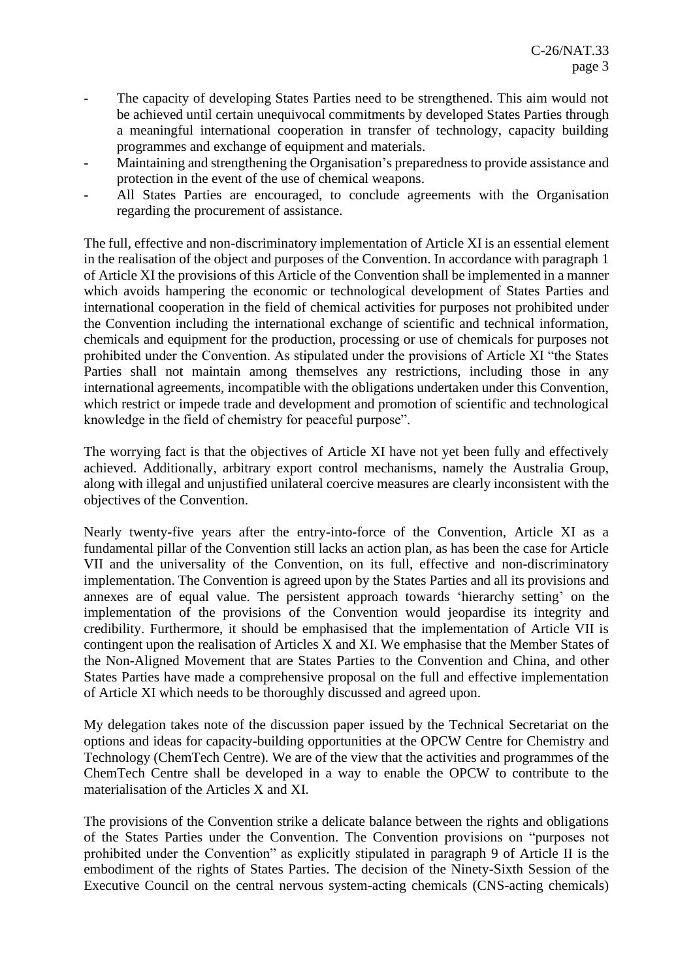- The capacity of developing States Parties need to be strengthened. This aim would not be achieved until certain unequivocal commitments by developed States Parties through a meaningful international cooperation in transfer of technology, capacity building programmes and exchange of equipment and materials.
- Maintaining and strengthening the Organisation's preparedness to provide assistance and protection in the event of the use of chemical weapons.
- All States Parties are encouraged, to conclude agreements with the Organisation regarding the procurement of assistance.

The full, effective and non-discriminatory implementation of Article XI is an essential element in the realisation of the object and purposes of the Convention. In accordance with paragraph 1 of Article XI the provisions of this Article of the Convention shall be implemented in a manner which avoids hampering the economic or technological development of States Parties and international cooperation in the field of chemical activities for purposes not prohibited under the Convention including the international exchange of scientific and technical information, chemicals and equipment for the production, processing or use of chemicals for purposes not prohibited under the Convention. As stipulated under the provisions of Article XI "the States Parties shall not maintain among themselves any restrictions, including those in any international agreements, incompatible with the obligations undertaken under this Convention, which restrict or impede trade and development and promotion of scientific and technological knowledge in the field of chemistry for peaceful purpose".

The worrying fact is that the objectives of Article XI have not yet been fully and effectively achieved. Additionally, arbitrary export control mechanisms, namely the Australia Group, along with illegal and unjustified unilateral coercive measures are clearly inconsistent with the objectives of the Convention.

Nearly twenty-five years after the entry-into-force of the Convention, Article XI as a fundamental pillar of the Convention still lacks an action plan, as has been the case for Article VII and the universality of the Convention, on its full, effective and non-discriminatory implementation. The Convention is agreed upon by the States Parties and all its provisions and annexes are of equal value. The persistent approach towards 'hierarchy setting' on the implementation of the provisions of the Convention would jeopardise its integrity and credibility. Furthermore, it should be emphasised that the implementation of Article VII is contingent upon the realisation of Articles X and XI. We emphasise that the Member States of the Non-Aligned Movement that are States Parties to the Convention and China, and other States Parties have made a comprehensive proposal on the full and effective implementation of Article XI which needs to be thoroughly discussed and agreed upon.

My delegation takes note of the discussion paper issued by the Technical Secretariat on the options and ideas for capacity-building opportunities at the OPCW Centre for Chemistry and Technology (ChemTech Centre). We are of the view that the activities and programmes of the ChemTech Centre shall be developed in a way to enable the OPCW to contribute to the materialisation of the Articles X and XI.

The provisions of the Convention strike a delicate balance between the rights and obligations of the States Parties under the Convention. The Convention provisions on "purposes not prohibited under the Convention" as explicitly stipulated in paragraph 9 of Article II is the embodiment of the rights of States Parties. The decision of the Ninety-Sixth Session of the Executive Council on the central nervous system-acting chemicals (CNS-acting chemicals)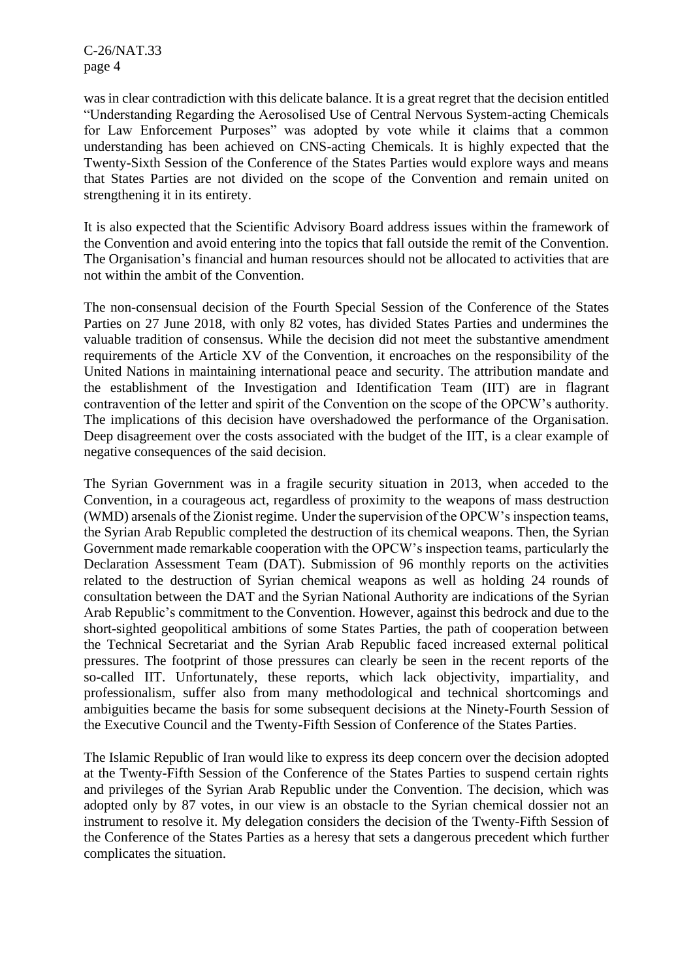C-26/NAT.33 page 4

was in clear contradiction with this delicate balance. It is a great regret that the decision entitled "Understanding Regarding the Aerosolised Use of Central Nervous System-acting Chemicals for Law Enforcement Purposes" was adopted by vote while it claims that a common understanding has been achieved on CNS-acting Chemicals. It is highly expected that the Twenty-Sixth Session of the Conference of the States Parties would explore ways and means that States Parties are not divided on the scope of the Convention and remain united on strengthening it in its entirety.

It is also expected that the Scientific Advisory Board address issues within the framework of the Convention and avoid entering into the topics that fall outside the remit of the Convention. The Organisation's financial and human resources should not be allocated to activities that are not within the ambit of the Convention.

The non-consensual decision of the Fourth Special Session of the Conference of the States Parties on 27 June 2018, with only 82 votes, has divided States Parties and undermines the valuable tradition of consensus. While the decision did not meet the substantive amendment requirements of the Article XV of the Convention, it encroaches on the responsibility of the United Nations in maintaining international peace and security. The attribution mandate and the establishment of the Investigation and Identification Team (IIT) are in flagrant contravention of the letter and spirit of the Convention on the scope of the OPCW's authority. The implications of this decision have overshadowed the performance of the Organisation. Deep disagreement over the costs associated with the budget of the IIT, is a clear example of negative consequences of the said decision.

The Syrian Government was in a fragile security situation in 2013, when acceded to the Convention, in a courageous act, regardless of proximity to the weapons of mass destruction (WMD) arsenals of the Zionist regime. Under the supervision of the OPCW's inspection teams, the Syrian Arab Republic completed the destruction of its chemical weapons. Then, the Syrian Government made remarkable cooperation with the OPCW's inspection teams, particularly the Declaration Assessment Team (DAT). Submission of 96 monthly reports on the activities related to the destruction of Syrian chemical weapons as well as holding 24 rounds of consultation between the DAT and the Syrian National Authority are indications of the Syrian Arab Republic's commitment to the Convention. However, against this bedrock and due to the short-sighted geopolitical ambitions of some States Parties, the path of cooperation between the Technical Secretariat and the Syrian Arab Republic faced increased external political pressures. The footprint of those pressures can clearly be seen in the recent reports of the so-called IIT. Unfortunately, these reports, which lack objectivity, impartiality, and professionalism, suffer also from many methodological and technical shortcomings and ambiguities became the basis for some subsequent decisions at the Ninety-Fourth Session of the Executive Council and the Twenty-Fifth Session of Conference of the States Parties.

The Islamic Republic of Iran would like to express its deep concern over the decision adopted at the Twenty-Fifth Session of the Conference of the States Parties to suspend certain rights and privileges of the Syrian Arab Republic under the Convention. The decision, which was adopted only by 87 votes, in our view is an obstacle to the Syrian chemical dossier not an instrument to resolve it. My delegation considers the decision of the Twenty-Fifth Session of the Conference of the States Parties as a heresy that sets a dangerous precedent which further complicates the situation.